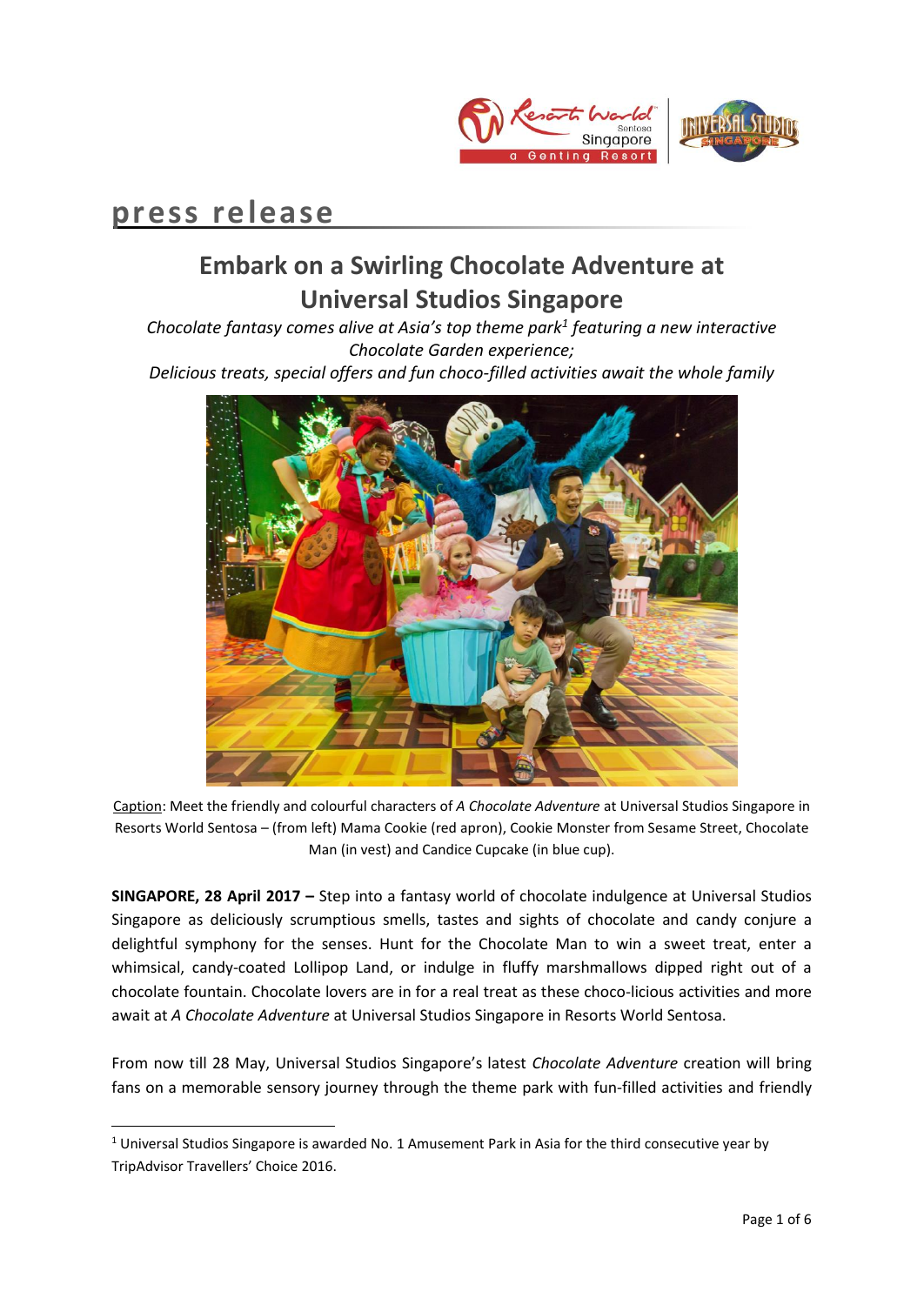

# **press release**

**.** 

# **Embark on a Swirling Chocolate Adventure at Universal Studios Singapore**

*Chocolate fantasy comes alive at Asia's top theme park<sup>1</sup> featuring a new interactive Chocolate Garden experience;* 

*Delicious treats, special offers and fun choco-filled activities await the whole family*



Caption: Meet the friendly and colourful characters of *A Chocolate Adventure* at Universal Studios Singapore in Resorts World Sentosa – (from left) Mama Cookie (red apron), Cookie Monster from Sesame Street, Chocolate Man (in vest) and Candice Cupcake (in blue cup).

**SINGAPORE, 28 April 2017 –** Step into a fantasy world of chocolate indulgence at Universal Studios Singapore as deliciously scrumptious smells, tastes and sights of chocolate and candy conjure a delightful symphony for the senses. Hunt for the Chocolate Man to win a sweet treat, enter a whimsical, candy-coated Lollipop Land, or indulge in fluffy marshmallows dipped right out of a chocolate fountain. Chocolate lovers are in for a real treat as these choco-licious activities and more await at *A Chocolate Adventure* at Universal Studios Singapore in Resorts World Sentosa.

From now till 28 May, Universal Studios Singapore's latest *Chocolate Adventure* creation will bring fans on a memorable sensory journey through the theme park with fun-filled activities and friendly

<sup>&</sup>lt;sup>1</sup> Universal Studios Singapore is awarded No. 1 Amusement Park in Asia for the third consecutive year by TripAdvisor Travellers' Choice 2016.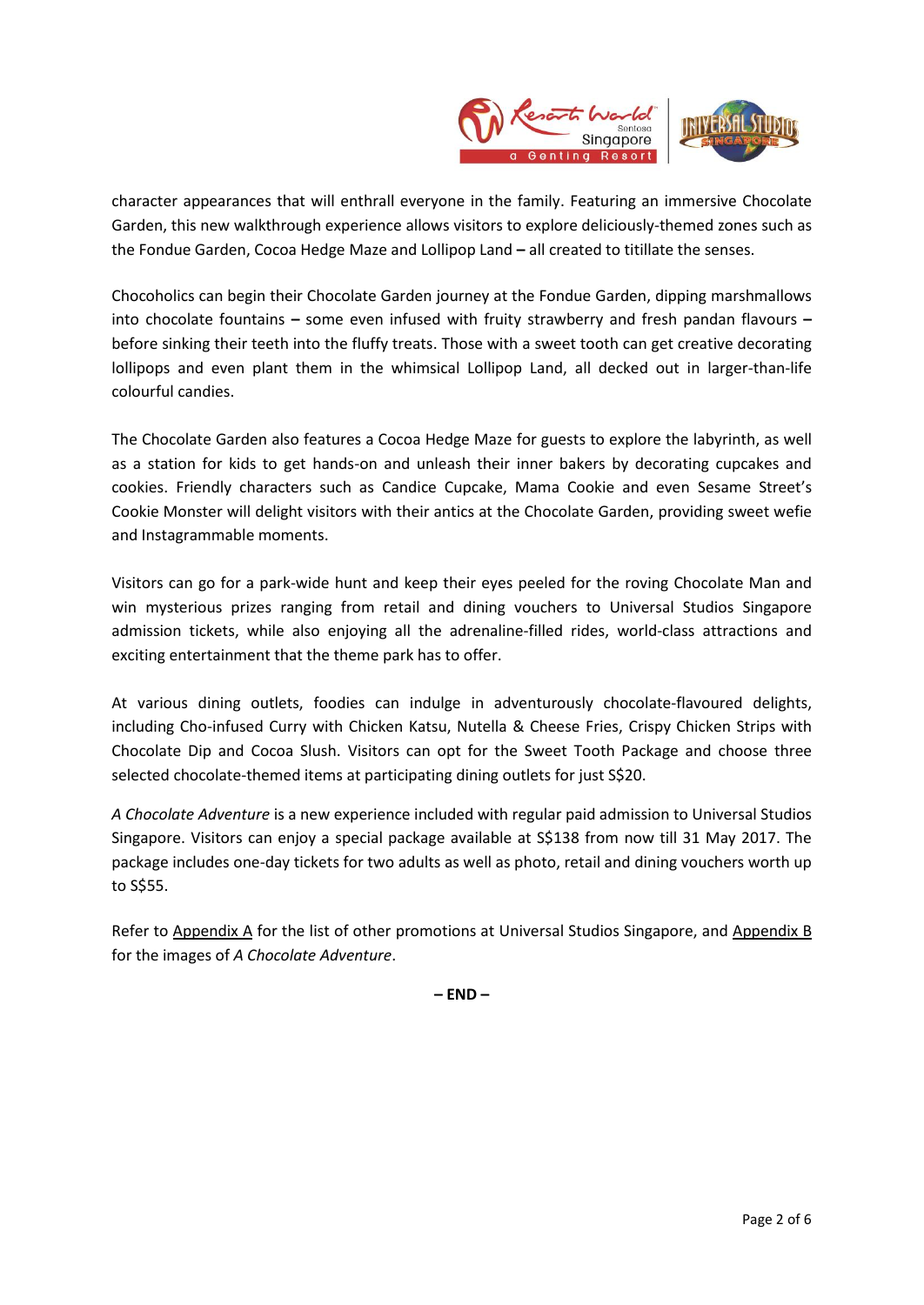

character appearances that will enthrall everyone in the family. Featuring an immersive Chocolate Garden, this new walkthrough experience allows visitors to explore deliciously-themed zones such as the Fondue Garden, Cocoa Hedge Maze and Lollipop Land **–** all created to titillate the senses.

Chocoholics can begin their Chocolate Garden journey at the Fondue Garden, dipping marshmallows into chocolate fountains **–** some even infused with fruity strawberry and fresh pandan flavours **–** before sinking their teeth into the fluffy treats. Those with a sweet tooth can get creative decorating lollipops and even plant them in the whimsical Lollipop Land, all decked out in larger-than-life colourful candies.

The Chocolate Garden also features a Cocoa Hedge Maze for guests to explore the labyrinth, as well as a station for kids to get hands-on and unleash their inner bakers by decorating cupcakes and cookies. Friendly characters such as Candice Cupcake, Mama Cookie and even Sesame Street's Cookie Monster will delight visitors with their antics at the Chocolate Garden, providing sweet wefie and Instagrammable moments.

Visitors can go for a park-wide hunt and keep their eyes peeled for the roving Chocolate Man and win mysterious prizes ranging from retail and dining vouchers to Universal Studios Singapore admission tickets, while also enjoying all the adrenaline-filled rides, world-class attractions and exciting entertainment that the theme park has to offer.

At various dining outlets, foodies can indulge in adventurously chocolate-flavoured delights, including Cho-infused Curry with Chicken Katsu, Nutella & Cheese Fries, Crispy Chicken Strips with Chocolate Dip and Cocoa Slush. Visitors can opt for the Sweet Tooth Package and choose three selected chocolate-themed items at participating dining outlets for just S\$20.

*A Chocolate Adventure* is a new experience included with regular paid admission to Universal Studios Singapore. Visitors can enjoy a special package available at S\$138 from now till 31 May 2017. The package includes one-day tickets for two adults as well as photo, retail and dining vouchers worth up to S\$55.

Refer to Appendix A for the list of other promotions at Universal Studios Singapore, and Appendix B for the images of *A Chocolate Adventure*.

**– END –**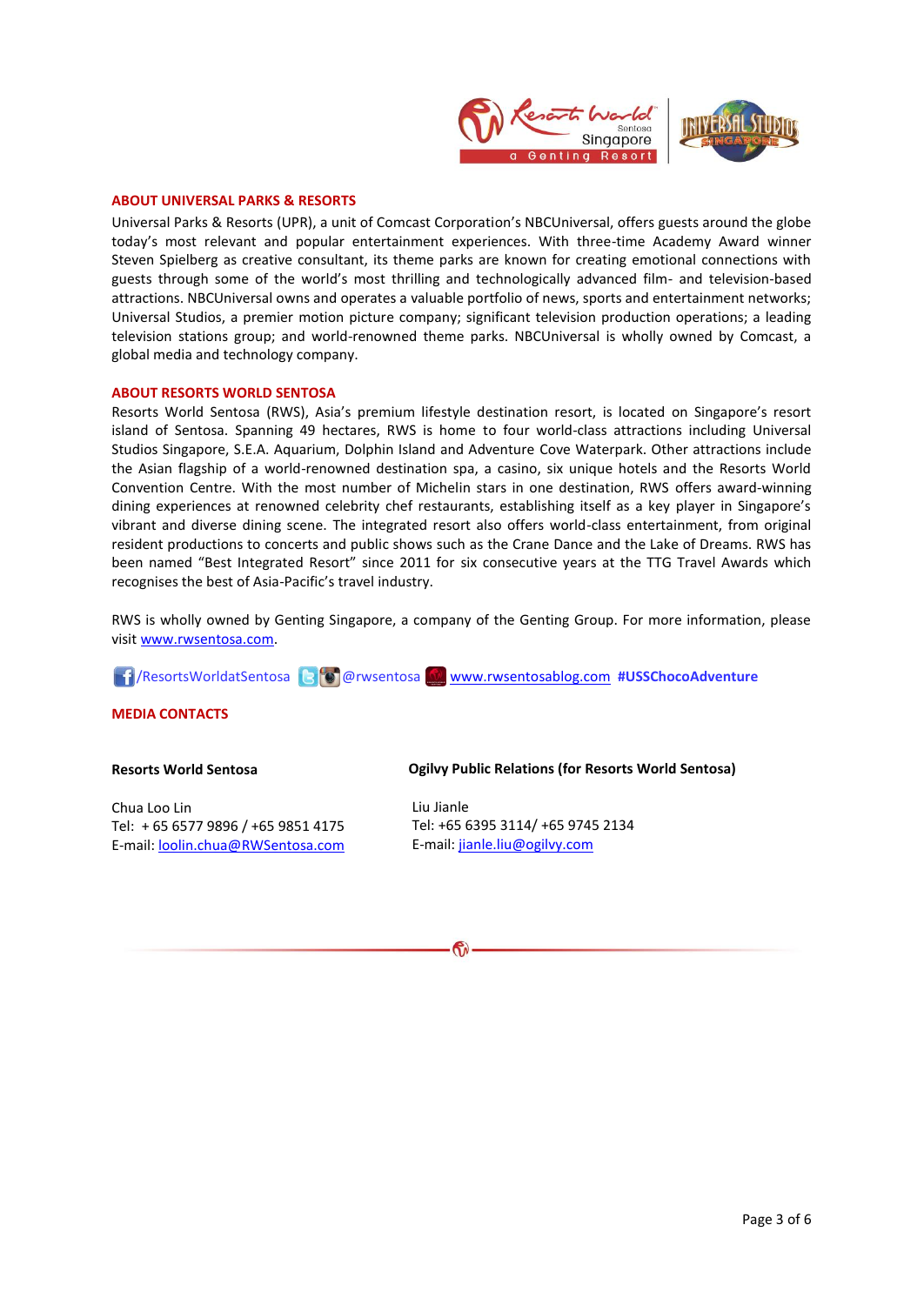

#### **ABOUT UNIVERSAL PARKS & RESORTS**

Universal Parks & Resorts (UPR), a unit of Comcast Corporation's NBCUniversal, offers guests around the globe today's most relevant and popular entertainment experiences. With three-time Academy Award winner Steven Spielberg as creative consultant, its theme parks are known for creating emotional connections with guests through some of the world's most thrilling and technologically advanced film- and television-based attractions. NBCUniversal owns and operates a valuable portfolio of news, sports and entertainment networks; Universal Studios, a premier motion picture company; significant television production operations; a leading television stations group; and world-renowned theme parks. NBCUniversal is wholly owned by Comcast, a global media and technology company.

#### **ABOUT RESORTS WORLD SENTOSA**

Resorts World Sentosa (RWS), Asia's premium lifestyle destination resort, is located on Singapore's resort island of Sentosa. Spanning 49 hectares, RWS is home to four world-class attractions including Universal Studios Singapore, S.E.A. Aquarium, Dolphin Island and Adventure Cove Waterpark. Other attractions include the Asian flagship of a world-renowned destination spa, a casino, six unique hotels and the Resorts World Convention Centre. With the most number of Michelin stars in one destination, RWS offers award-winning dining experiences at renowned celebrity chef restaurants, establishing itself as a key player in Singapore's vibrant and diverse dining scene. The integrated resort also offers world-class entertainment, from original resident productions to concerts and public shows such as the Crane Dance and the Lake of Dreams. RWS has been named "Best Integrated Resort" since 2011 for six consecutive years at the TTG Travel Awards which recognises the best of Asia-Pacific's travel industry.

RWS is wholly owned by Genting Singapore, a company of the Genting Group. For more information, please visi[t www.rwsentosa.com.](http://www.rwsentosa.com/)

/ResortsWorldatSentosa @rwsentosa [www.rwsentosablog.com](http://www.rwsentosablog.com/) **#USSChocoAdventure**

#### **MEDIA CONTACTS**

#### **Resorts World Sentosa**

Chua Loo Lin Tel: + 65 6577 9896 / +65 9851 4175 E-mail: [loolin.chua@RWSentosa.com](mailto:loolin.chua@RWSentosa.com)

#### **Ogilvy Public Relations (for Resorts World Sentosa)**

Liu Jianle Tel: +65 6395 3114/ +65 9745 2134 E-mail: [jianle.liu@ogilvy.com](mailto:jianle.liu@ogilvy.com)

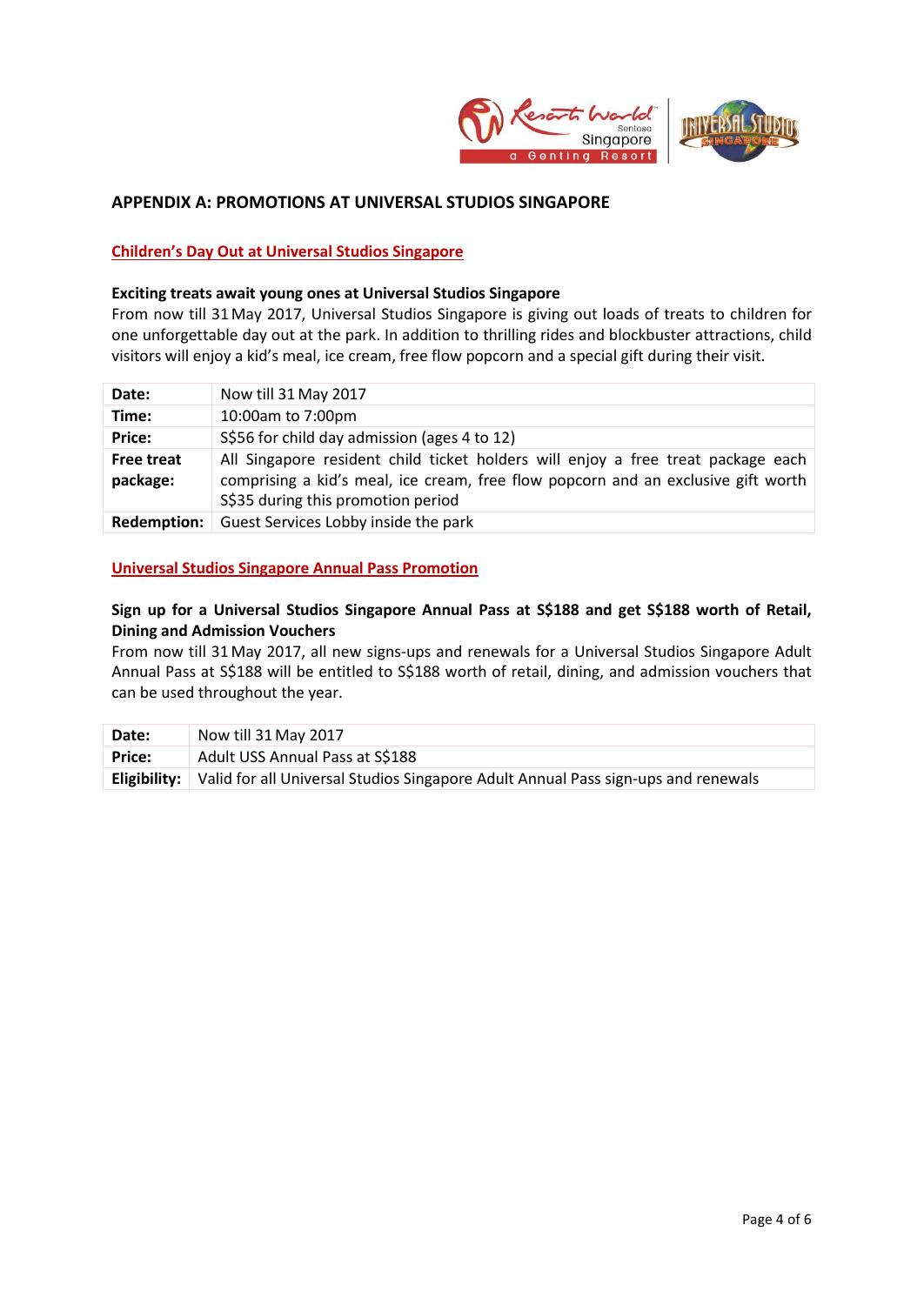

## **APPENDIX A: PROMOTIONS AT UNIVERSAL STUDIOS SINGAPORE**

## **Children's Day Out at Universal Studios Singapore**

### **Exciting treats await young ones at Universal Studios Singapore**

From now till 31May 2017, Universal Studios Singapore is giving out loads of treats to children for one unforgettable day out at the park. In addition to thrilling rides and blockbuster attractions, child visitors will enjoy a kid's meal, ice cream, free flow popcorn and a special gift during their visit.

| Date:                         | Now till 31 May 2017                                                                                                                                                                                        |
|-------------------------------|-------------------------------------------------------------------------------------------------------------------------------------------------------------------------------------------------------------|
| Time:                         | 10:00am to 7:00pm                                                                                                                                                                                           |
| Price:                        | S\$56 for child day admission (ages 4 to 12)                                                                                                                                                                |
| <b>Free treat</b><br>package: | All Singapore resident child ticket holders will enjoy a free treat package each<br>comprising a kid's meal, ice cream, free flow popcorn and an exclusive gift worth<br>S\$35 during this promotion period |
| Redemption:                   | Guest Services Lobby inside the park                                                                                                                                                                        |

## **Universal Studios Singapore Annual Pass Promotion**

# **Sign up for a Universal Studios Singapore Annual Pass at S\$188 and get S\$188 worth of Retail, Dining and Admission Vouchers**

From now till 31 May 2017, all new signs-ups and renewals for a Universal Studios Singapore Adult Annual Pass at S\$188 will be entitled to S\$188 worth of retail, dining, and admission vouchers that can be used throughout the year.

| Date:         | Now till 31 May 2017                                                                             |
|---------------|--------------------------------------------------------------------------------------------------|
| <b>Price:</b> | Adult USS Annual Pass at S\$188                                                                  |
|               | Eligibility:   Valid for all Universal Studios Singapore Adult Annual Pass sign-ups and renewals |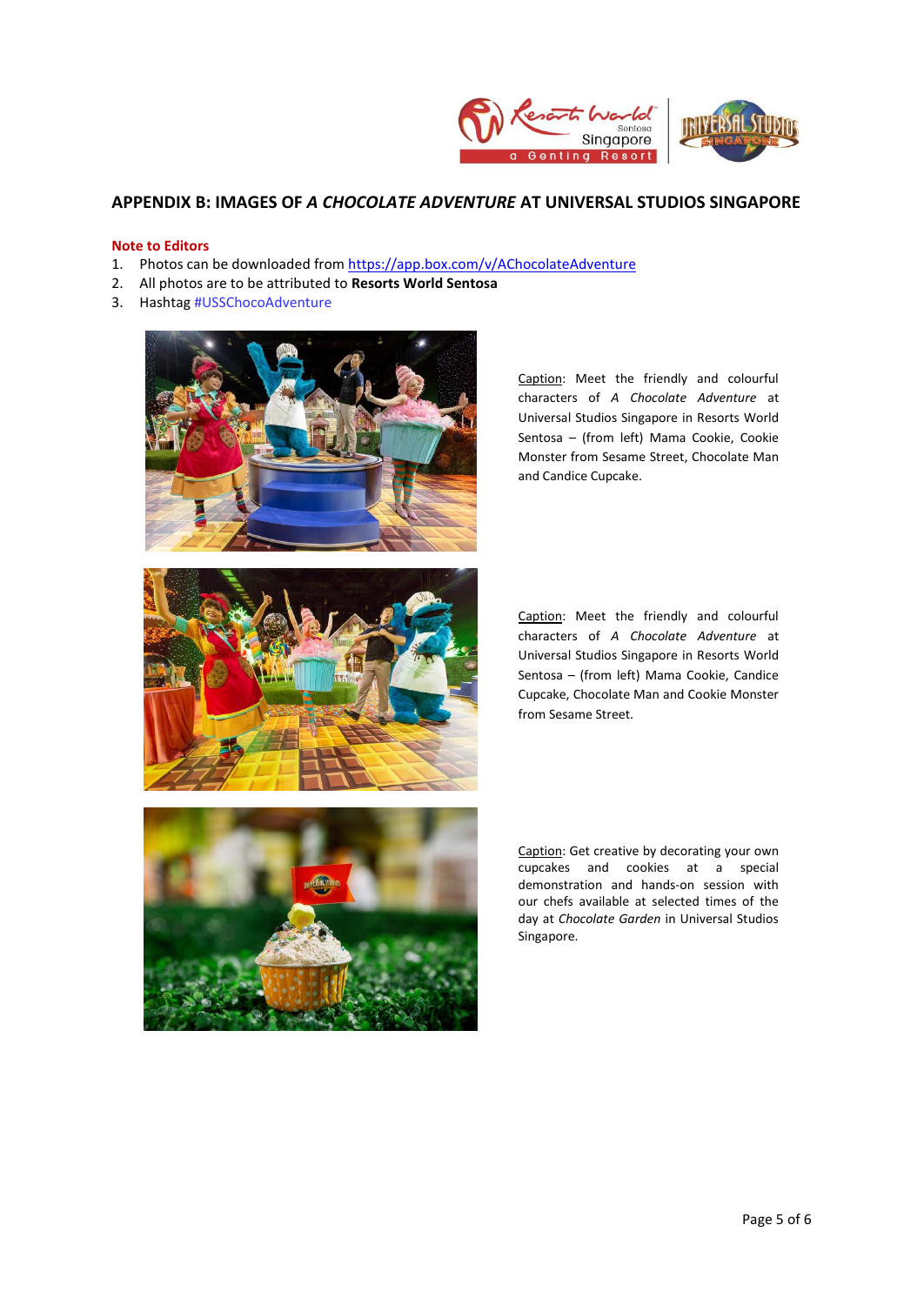

## **APPENDIX B: IMAGES OF** *A CHOCOLATE ADVENTURE* **AT UNIVERSAL STUDIOS SINGAPORE**

### **Note to Editors**

- 1. Photos can be downloaded fro[m https://app.box.com/v/AChocolateAdventure](https://app.box.com/v/AChocolateAdventure)
- 2. All photos are to be attributed to **Resorts World Sentosa**
- 3. Hashtag #USSChocoAdventure



Caption: Meet the friendly and colourful characters of *A Chocolate Adventure* at Universal Studios Singapore in Resorts World Sentosa – (from left) Mama Cookie, Cookie Monster from Sesame Street, Chocolate Man and Candice Cupcake.



Caption: Meet the friendly and colourful characters of *A Chocolate Adventure* at Universal Studios Singapore in Resorts World Sentosa – (from left) Mama Cookie, Candice Cupcake, Chocolate Man and Cookie Monster from Sesame Street.



Caption: Get creative by decorating your own cupcakes and cookies at a special demonstration and hands-on session with our chefs available at selected times of the day at *Chocolate Garden* in Universal Studios Singapore.